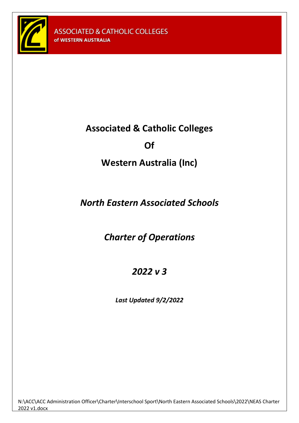<span id="page-0-0"></span>

# **Associated & Catholic Colleges**

# **Of**

# **Western Australia (Inc)**

# *North Eastern Associated Schools*

# *Charter of Operations*

# *2022 v 3*

*Last Updated 9/2/2022*

N:\ACC\ACC Administration Officer\Charter\Interschool Sport\North Eastern Associated Schools\2022\NEAS Charter 2022 v1.docx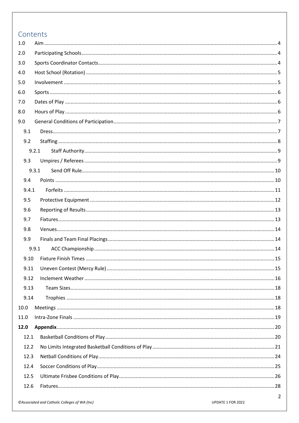## Contents

| 1.0   |       |  |  |  |
|-------|-------|--|--|--|
| 2.0   |       |  |  |  |
| 3.0   |       |  |  |  |
| 4.0   |       |  |  |  |
| 5.0   |       |  |  |  |
| 6.0   |       |  |  |  |
| 7.0   |       |  |  |  |
| 8.0   |       |  |  |  |
| 9.0   |       |  |  |  |
| 9.1   |       |  |  |  |
| 9.2   |       |  |  |  |
|       | 9.2.1 |  |  |  |
| 9.3   |       |  |  |  |
|       | 9.3.1 |  |  |  |
| 9.4   |       |  |  |  |
| 9.4.1 |       |  |  |  |
| 9.5   |       |  |  |  |
| 9.6   |       |  |  |  |
| 9.7   |       |  |  |  |
| 9.8   |       |  |  |  |
| 9.9   |       |  |  |  |
|       | 9.9.1 |  |  |  |
| 9.10  |       |  |  |  |
| 9.11  |       |  |  |  |
| 9.12  |       |  |  |  |
| 9.13  |       |  |  |  |
| 9.14  |       |  |  |  |
| 10.0  |       |  |  |  |
| 11.0  |       |  |  |  |
| 12.0  |       |  |  |  |
| 12.1  |       |  |  |  |
| 12.2  |       |  |  |  |
| 12.3  |       |  |  |  |
| 12.4  |       |  |  |  |
| 12.5  |       |  |  |  |
| 12.6  |       |  |  |  |
|       |       |  |  |  |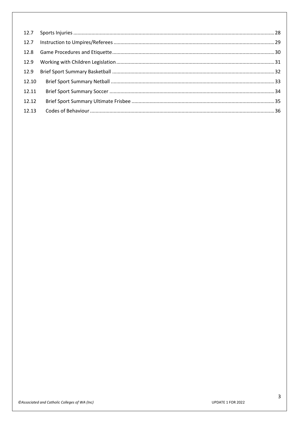| 12.9  |  |
|-------|--|
| 12.9  |  |
| 12.10 |  |
| 12.11 |  |
| 12.12 |  |
| 12.13 |  |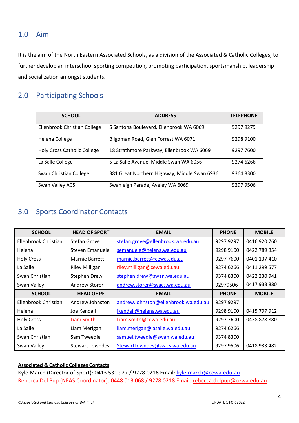## <span id="page-3-0"></span>1.0 Aim

It is the aim of the North Eastern Associated Schools, as a division of the Associated & Catholic Colleges, to further develop an interschool sporting competition, promoting participation, sportsmanship, leadership and socialization amongst students.

## <span id="page-3-1"></span>2.0 Participating Schools

| <b>SCHOOL</b>                      | <b>ADDRESS</b>                               | <b>TELEPHONE</b> |
|------------------------------------|----------------------------------------------|------------------|
| Ellenbrook Christian College       | 5 Santona Boulevard, Ellenbrook WA 6069      | 9297 9279        |
| Helena College                     | Bilgoman Road, Glen Forrest WA 6071          | 9298 9100        |
| <b>Holy Cross Catholic College</b> | 18 Strathmore Parkway, Ellenbrook WA 6069    | 9297 7600        |
| La Salle College                   | 5 La Salle Avenue, Middle Swan WA 6056       | 9274 6266        |
| Swan Christian College             | 381 Great Northern Highway, Middle Swan 6936 | 9364 8300        |
| Swan Valley ACS                    | Swanleigh Parade, Aveley WA 6069             | 9297 9506        |

## <span id="page-3-2"></span>3.0 Sports Coordinator Contacts

| <b>SCHOOL</b>        | <b>HEAD OF SPORT</b>  | <b>EMAIL</b>                         | <b>PHONE</b> | <b>MOBILE</b> |
|----------------------|-----------------------|--------------------------------------|--------------|---------------|
| Ellenbrook Christian | <b>Stefan Grove</b>   | stefan.grove@ellenbrook.wa.edu.au    | 9297 9297    | 0416 920 760  |
| Helena               | Steven Emanuele       | semanuele@helena.wa.edu.au           | 9298 9100    | 0422 789 854  |
| <b>Holy Cross</b>    | <b>Marnie Barrett</b> | marnie.barrett@cewa.edu.au           | 9297 7600    | 0401 137 410  |
| La Salle             | <b>Riley Milligan</b> | riley.milligan@cewa.edu.au           | 9274 6266    | 0411 299 577  |
| Swan Christian       | Stephen Drew          | stephen.drew@swan.wa.edu.au          | 9374 8300    | 0422 230 941  |
| Swan Valley          | Andrew Storer         | andrew.storer@svacs.wa.edu.au        | 92979506     | 0417 938 880  |
| <b>SCHOOL</b>        | <b>HEAD OF PE</b>     | <b>EMAIL</b>                         | <b>PHONE</b> | <b>MOBILE</b> |
| Ellenbrook Christian | Andrew Johnston       | andrew.johnston@ellenbrook.wa.edu.au | 9297 9297    |               |
|                      |                       |                                      |              |               |
| Helena               | Joe Kendall           | jkendall@helena.wa.edu.au            | 9298 9100    | 0415 797 912  |
| <b>Holy Cross</b>    | Liam Smith            | Liam.smith@cewa.edu.au               | 9297 7600    | 0438 878 880  |
| La Salle             | Liam Merigan          | liam.merigan@lasalle.wa.edu.au       | 9274 6266    |               |
| Swan Christian       | Sam Tweedie           | samuel.tweedie@swan.wa.edu.au        | 9374 8300    |               |

## **Associated & Catholic Colleges Contacts**

Kyle March (Director of Sport): 0413 531 927 / 9278 0216 Email: [kyle.march@cewa.edu.au](mailto:kyle.march@cewa.edu.au) Rebecca Del Pup (NEAS Coordinator): 0448 013 068 / 9278 0218 Email: [rebecca.delpup@cewa.edu.au](mailto:rebecca.delpup@cewa.edu.au)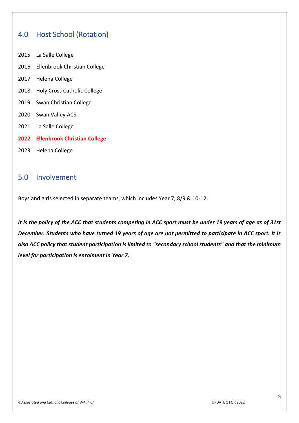## <span id="page-4-0"></span>4.0 Host School (Rotation)

- 2015 La Salle College
- 2016 Ellenbrook Christian College
- 2017 Helena College
- 2018 Holy Cross Catholic College
- 2019 Swan Christian College
- 2020 Swan Valley ACS
- 2021 La Salle College
- **2022 Ellenbrook Christian College**
- 2023 Helena College

## <span id="page-4-1"></span>5.0 Involvement

Boys and girls selected in separate teams, which includes Year 7, 8/9 & 10-12.

*It is the policy of the ACC that students competing in ACC sport must be under 19 years of age as of 31st December. Students who have turned 19 years of age are not permitted to participate in ACC sport. It is also ACC policy that student participation is limited to "secondary school students" and that the minimum level for participation is enrolment in Year 7.*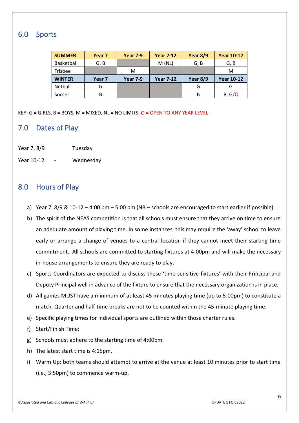## <span id="page-5-0"></span>6.0 Sports

| <b>SUMMER</b> | Year <sub>7</sub> | <b>Year 7-9</b> | <b>Year 7-12</b> | Year $8/9$ | <b>Year 10-12</b> |
|---------------|-------------------|-----------------|------------------|------------|-------------------|
| Basketball    | G, B              |                 | M(NL)            | G, B       | G, B              |
| Frisbee       |                   | M               |                  |            | M                 |
|               |                   |                 |                  |            |                   |
| <b>WINTER</b> | Year 7            | <b>Year 7-9</b> | <b>Year 7-12</b> | Year 8/9   | <b>Year 10-12</b> |
| Netball       | G                 |                 |                  | G          | G                 |

KEY: G = GIRLS, B = BOYS, M = MIXED, NL = NO LIMITS, O = OPEN TO ANY YEAR LEVEL

## <span id="page-5-1"></span>7.0 Dates of Play

- Year 7, 8/9 Tuesday
- Year 10-12 Wednesday

## <span id="page-5-2"></span>8.0 Hours of Play

- a) Year 7, 8/9 & 10-12 4:00 pm 5:00 pm (NB schools are encouraged to start earlier if possible)
- b) The spirit of the NEAS competition is that all schools must ensure that they arrive on time to ensure an adequate amount of playing time. In some instances, this may require the 'away' school to leave early or arrange a change of venues to a central location if they cannot meet their starting time commitment. All schools are committed to starting fixtures at 4:00pm and will make the necessary in-house arrangements to ensure they are ready to play.
- c) Sports Coordinators are expected to discuss these 'time sensitive fixtures' with their Principal and Deputy Principal well in advance of the fixture to ensure that the necessary organization is in place.
- d) All games MUST have a minimum of at least 45 minutes playing time (up to 5:00pm) to constitute a match. Quarter and half-time breaks are not to be counted within the 45-minute playing time.
- e) Specific playing times for individual sports are outlined within those charter rules.
- f) Start/Finish Time:
- g) Schools must adhere to the starting time of 4:00pm.
- h) The latest start time is 4:15pm.
- i) Warm Up: both teams should attempt to arrive at the venue at least 10 minutes prior to start time (i.e., 3:50pm) to commence warm-up.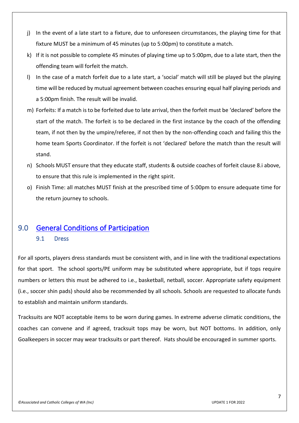- j) In the event of a late start to a fixture, due to unforeseen circumstances, the playing time for that fixture MUST be a minimum of 45 minutes (up to 5:00pm) to constitute a match.
- k) If it is not possible to complete 45 minutes of playing time up to 5:00pm, due to a late start, then the offending team will forfeit the match.
- l) In the case of a match forfeit due to a late start, a 'social' match will still be played but the playing time will be reduced by mutual agreement between coaches ensuring equal half playing periods and a 5:00pm finish. The result will be invalid.
- m) Forfeits: If a match is to be forfeited due to late arrival, then the forfeit must be 'declared' before the start of the match. The forfeit is to be declared in the first instance by the coach of the offending team, if not then by the umpire/referee, if not then by the non-offending coach and failing this the home team Sports Coordinator. If the forfeit is not 'declared' before the match than the result will stand.
- n) Schools MUST ensure that they educate staff, students & outside coaches of forfeit clause 8.i above, to ensure that this rule is implemented in the right spirit.
- o) Finish Time: all matches MUST finish at the prescribed time of 5:00pm to ensure adequate time for the return journey to schools.

## <span id="page-6-1"></span><span id="page-6-0"></span>9.0 [General Conditions of Participation](#page-0-0)

## 9.1 Dress

For all sports, players dress standards must be consistent with, and in line with the traditional expectations for that sport. The school sports/PE uniform may be substituted where appropriate, but if tops require numbers or letters this must be adhered to i.e., basketball, netball, soccer. Appropriate safety equipment (i.e., soccer shin pads) should also be recommended by all schools. Schools are requested to allocate funds to establish and maintain uniform standards.

Tracksuits are NOT acceptable items to be worn during games. In extreme adverse climatic conditions, the coaches can convene and if agreed, tracksuit tops may be worn, but NOT bottoms. In addition, only Goalkeepers in soccer may wear tracksuits or part thereof. Hats should be encouraged in summer sports.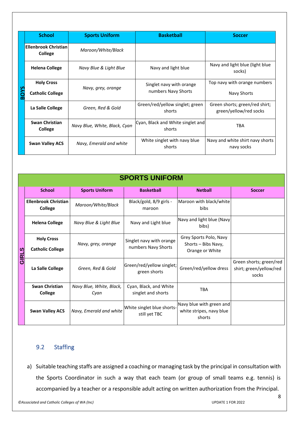|             | <b>School</b>                          | <b>Sports Uniform</b>         | <b>Basketball</b>                           | <b>Soccer</b>                                            |
|-------------|----------------------------------------|-------------------------------|---------------------------------------------|----------------------------------------------------------|
|             | <b>Ellenbrook Christian</b><br>College | Maroon/White/Black            |                                             |                                                          |
|             | <b>Helena College</b>                  | Navy Blue & Light Blue        | Navy and light blue                         | Navy and light blue (light blue<br>socks)                |
|             | <b>Holy Cross</b>                      | Navy, grey, orange            | Singlet navy with orange                    | Top navy with orange numbers                             |
| <b>BOYS</b> | <b>Catholic College</b>                |                               | numbers Navy Shorts                         | Navy Shorts                                              |
|             | La Salle College                       | Green, Red & Gold             | Green/red/yellow singlet; green<br>shorts   | Green shorts; green/red shirt;<br>green/yellow/red socks |
|             | <b>Swan Christian</b><br>College       | Navy Blue, White, Black, Cyan | Cyan, Black and White singlet and<br>shorts | <b>TBA</b>                                               |
|             | <b>Swan Valley ACS</b>                 | Navy, Emerald and white       | White singlet with navy blue<br>shorts      | Navy and white shirt navy shorts<br>navy socks           |

|       | <b>SPORTS UNIFORM</b>                         |                                  |                                                 |                                                                  |                                                             |  |  |  |
|-------|-----------------------------------------------|----------------------------------|-------------------------------------------------|------------------------------------------------------------------|-------------------------------------------------------------|--|--|--|
|       | <b>School</b>                                 | <b>Sports Uniform</b>            | <b>Basketball</b>                               | <b>Netball</b>                                                   | <b>Soccer</b>                                               |  |  |  |
|       | <b>Ellenbrook Christian</b><br><b>College</b> | Maroon/White/Black               | Black/gold, 8/9 girls -<br>maroon               | Maroon with black/white<br><b>bibs</b>                           |                                                             |  |  |  |
|       | <b>Helena College</b>                         | Navy Blue & Light Blue           | Navy and Light blue                             | Navy and light blue (Navy<br>bibs)                               |                                                             |  |  |  |
| GIRLS | <b>Holy Cross</b><br><b>Catholic College</b>  | Navy, grey, orange               | Singlet navy with orange<br>numbers Navy Shorts | Grey Sports Polo, Navy<br>Shorts - Bibs Navy,<br>Orange or White |                                                             |  |  |  |
|       | La Salle College                              | Green, Red & Gold                | Green/red/yellow singlet;<br>green shorts       | Green/red/yellow dress                                           | Green shorts; green/red<br>shirt; green/yellow/red<br>socks |  |  |  |
|       | <b>Swan Christian</b><br><b>College</b>       | Navy Blue, White, Black,<br>Cyan | Cyan, Black, and White<br>singlet and shorts    | <b>TBA</b>                                                       |                                                             |  |  |  |
|       | <b>Swan Valley ACS</b>                        | Navy, Emerald and white          | White singlet blue shorts-<br>still yet TBC     | Navy blue with green and<br>white stripes, navy blue<br>shorts   |                                                             |  |  |  |

## <span id="page-7-0"></span>9.2 Staffing

a) Suitable teaching staffs are assigned a coaching or managing task by the principal in consultation with the Sports Coordinator in such a way that each team (or group of small teams e.g. tennis) is accompanied by a teacher or a responsible adult acting on written authorization from the Principal.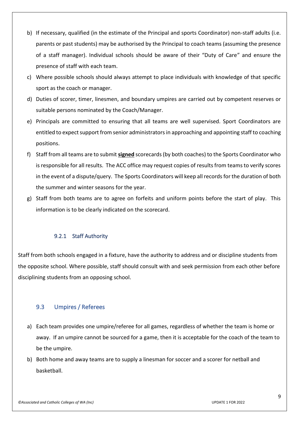- b) If necessary, qualified (in the estimate of the Principal and sports Coordinator) non-staff adults (i.e. parents or past students) may be authorised by the Principal to coach teams (assuming the presence of a staff manager). Individual schools should be aware of their "Duty of Care" and ensure the presence of staff with each team.
- c) Where possible schools should always attempt to place individuals with knowledge of that specific sport as the coach or manager.
- d) Duties of scorer, timer, linesmen, and boundary umpires are carried out by competent reserves or suitable persons nominated by the Coach/Manager.
- e) Principals are committed to ensuring that all teams are well supervised. Sport Coordinators are entitled to expect support from senior administrators in approaching and appointing staff to coaching positions.
- f) Staff from all teams are to submit **signed** scorecards (by both coaches) to the Sports Coordinator who is responsible for all results. The ACC office may request copies of results from teams to verify scores in the event of a dispute/query. The Sports Coordinators will keep all records for the duration of both the summer and winter seasons for the year.
- g) Staff from both teams are to agree on forfeits and uniform points before the start of play. This information is to be clearly indicated on the scorecard.

## 9.2.1 Staff Authority

<span id="page-8-0"></span>Staff from both schools engaged in a fixture, have the authority to address and or discipline students from the opposite school. Where possible, staff should consult with and seek permission from each other before disciplining students from an opposing school.

## <span id="page-8-1"></span>9.3 Umpires / Referees

- a) Each team provides one umpire/referee for all games, regardless of whether the team is home or away. If an umpire cannot be sourced for a game, then it is acceptable for the coach of the team to be the umpire.
- b) Both home and away teams are to supply a linesman for soccer and a scorer for netball and basketball.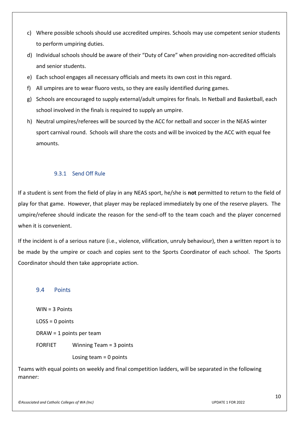- c) Where possible schools should use accredited umpires. Schools may use competent senior students to perform umpiring duties.
- d) Individual schools should be aware of their "Duty of Care" when providing non-accredited officials and senior students.
- e) Each school engages all necessary officials and meets its own cost in this regard.
- f) All umpires are to wear fluoro vests, so they are easily identified during games.
- g) Schools are encouraged to supply external/adult umpires for finals. In Netball and Basketball, each school involved in the finals is required to supply an umpire.
- h) Neutral umpires/referees will be sourced by the ACC for netball and soccer in the NEAS winter sport carnival round. Schools will share the costs and will be invoiced by the ACC with equal fee amounts.

## 9.3.1 Send Off Rule

<span id="page-9-0"></span>If a student is sent from the field of play in any NEAS sport, he/she is **not** permitted to return to the field of play for that game. However, that player may be replaced immediately by one of the reserve players. The umpire/referee should indicate the reason for the send-off to the team coach and the player concerned when it is convenient.

If the incident is of a serious nature (i.e., violence, vilification, unruly behaviour), then a written report is to be made by the umpire or coach and copies sent to the Sports Coordinator of each school. The Sports Coordinator should then take appropriate action.

## <span id="page-9-1"></span>9.4 Points

WIN = 3 Points LOSS = 0 points DRAW = 1 points per team FORFIET Winning Team = 3 points Losing team = 0 points

Teams with equal points on weekly and final competition ladders, will be separated in the following manner: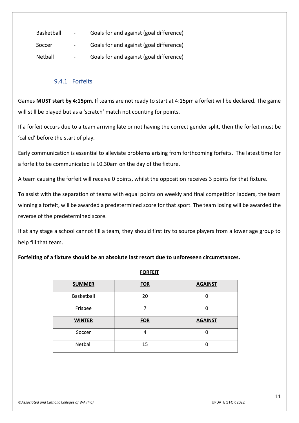| Basketball | $\sim$        | Goals for and against (goal difference) |
|------------|---------------|-----------------------------------------|
| Soccer     |               | Goals for and against (goal difference) |
| Netball    | $\sim$ $\sim$ | Goals for and against (goal difference) |

## 9.4.1 Forfeits

<span id="page-10-0"></span>Games **MUST start by 4:15pm.** If teams are not ready to start at 4:15pm a forfeit will be declared. The game will still be played but as a 'scratch' match not counting for points.

If a forfeit occurs due to a team arriving late or not having the correct gender split, then the forfeit must be 'called' before the start of play.

Early communication is essential to alleviate problems arising from forthcoming forfeits. The latest time for a forfeit to be communicated is 10.30am on the day of the fixture.

A team causing the forfeit will receive 0 points, whilst the opposition receives 3 points for that fixture.

To assist with the separation of teams with equal points on weekly and final competition ladders, the team winning a forfeit, will be awarded a predetermined score for that sport. The team losing will be awarded the reverse of the predetermined score.

If at any stage a school cannot fill a team, they should first try to source players from a lower age group to help fill that team.

## **Forfeiting of a fixture should be an absolute last resort due to unforeseen circumstances.**

| <b>SUMMER</b> | <b>FOR</b> | <b>AGAINST</b> |
|---------------|------------|----------------|
| Basketball    | 20         |                |
| Frisbee       |            |                |
|               |            |                |
| <b>WINTER</b> | <b>FOR</b> | <b>AGAINST</b> |
| Soccer        | 4          |                |

**FORFEIT**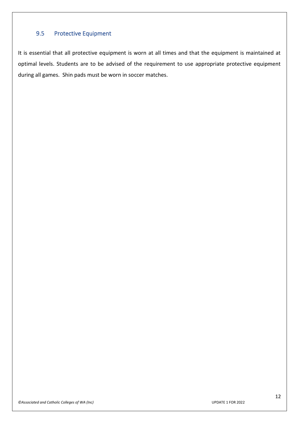## <span id="page-11-0"></span>9.5 Protective Equipment

It is essential that all protective equipment is worn at all times and that the equipment is maintained at optimal levels. Students are to be advised of the requirement to use appropriate protective equipment during all games. Shin pads must be worn in soccer matches.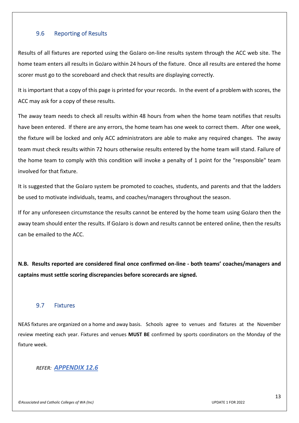## <span id="page-12-0"></span>9.6 Reporting of Results

Results of all fixtures are reported using the GoJaro on-line results system through the ACC web site. The home team enters all results in GoJaro within 24 hours of the fixture. Once all results are entered the home scorer must go to the scoreboard and check that results are displaying correctly.

It is important that a copy of this page is printed for your records. In the event of a problem with scores, the ACC may ask for a copy of these results.

The away team needs to check all results within 48 hours from when the home team notifies that results have been entered. If there are any errors, the home team has one week to correct them. After one week, the fixture will be locked and only ACC administrators are able to make any required changes. The away team must check results within 72 hours otherwise results entered by the home team will stand. Failure of the home team to comply with this condition will invoke a penalty of 1 point for the "responsible" team involved for that fixture.

It is suggested that the GoJaro system be promoted to coaches, students, and parents and that the ladders be used to motivate individuals, teams, and coaches/managers throughout the season.

If for any unforeseen circumstance the results cannot be entered by the home team using GoJaro then the away team should enter the results. If GoJaro is down and results cannot be entered online, then the results can be emailed to the ACC.

**N.B. Results reported are considered final once confirmed on-line - both teams' coaches/managers and captains must settle scoring discrepancies before scorecards are signed.**

## <span id="page-12-1"></span>9.7 Fixtures

NEAS fixtures are organized on a home and away basis. Schools agree to venues and fixtures at the November review meeting each year. Fixtures and venues **MUST BE** confirmed by sports coordinators on the Monday of the fixture week.

## *REFER: APPENDIX 12.6*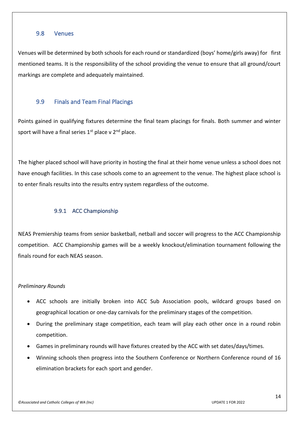## <span id="page-13-0"></span>9.8 Venues

Venues will be determined by both schools for each round or standardized (boys' home/girls away) for first mentioned teams. It is the responsibility of the school providing the venue to ensure that all ground/court markings are complete and adequately maintained.

## <span id="page-13-1"></span>9.9 Finals and Team Final Placings

Points gained in qualifying fixtures determine the final team placings for finals. Both summer and winter sport will have a final series  $1<sup>st</sup>$  place v  $2<sup>nd</sup>$  place.

The higher placed school will have priority in hosting the final at their home venue unless a school does not have enough facilities. In this case schools come to an agreement to the venue. The highest place school is to enter finals results into the results entry system regardless of the outcome.

## 9.9.1 ACC Championship

<span id="page-13-2"></span>NEAS Premiership teams from senior basketball, netball and soccer will progress to the ACC Championship competition. ACC Championship games will be a weekly knockout/elimination tournament following the finals round for each NEAS season.

## *Preliminary Rounds*

- ACC schools are initially broken into ACC Sub Association pools, wildcard groups based on geographical location or one-day carnivals for the preliminary stages of the competition.
- During the preliminary stage competition, each team will play each other once in a round robin competition.
- Games in preliminary rounds will have fixtures created by the ACC with set dates/days/times.
- Winning schools then progress into the Southern Conference or Northern Conference round of 16 elimination brackets for each sport and gender.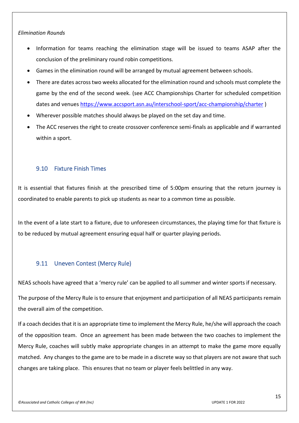## *Elimination Rounds*

- Information for teams reaching the elimination stage will be issued to teams ASAP after the conclusion of the preliminary round robin competitions.
- Games in the elimination round will be arranged by mutual agreement between schools.
- There are dates across two weeks allocated for the elimination round and schools must complete the game by the end of the second week. (see ACC Championships Charter for scheduled competition dates and venues <https://www.accsport.asn.au/interschool-sport/acc-championship/charter> )
- Wherever possible matches should always be played on the set day and time.
- The ACC reserves the right to create crossover conference semi-finals as applicable and if warranted within a sport.

## <span id="page-14-0"></span>9.10 Fixture Finish Times

It is essential that fixtures finish at the prescribed time of 5:00pm ensuring that the return journey is coordinated to enable parents to pick up students as near to a common time as possible.

In the event of a late start to a fixture, due to unforeseen circumstances, the playing time for that fixture is to be reduced by mutual agreement ensuring equal half or quarter playing periods.

## <span id="page-14-1"></span>9.11 Uneven Contest (Mercy Rule)

NEAS schools have agreed that a 'mercy rule' can be applied to all summer and winter sports if necessary.

The purpose of the Mercy Rule is to ensure that enjoyment and participation of all NEAS participants remain the overall aim of the competition.

If a coach decides that it is an appropriate time to implement the Mercy Rule, he/she will approach the coach of the opposition team. Once an agreement has been made between the two coaches to implement the Mercy Rule, coaches will subtly make appropriate changes in an attempt to make the game more equally matched. Any changes to the game are to be made in a discrete way so that players are not aware that such changes are taking place. This ensures that no team or player feels belittled in any way.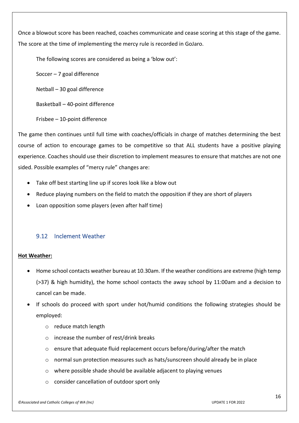Once a blowout score has been reached, coaches communicate and cease scoring at this stage of the game. The score at the time of implementing the mercy rule is recorded in GoJaro.

The following scores are considered as being a 'blow out':

Soccer – 7 goal difference

Netball – 30 goal difference

Basketball – 40-point difference

Frisbee – 10-point difference

The game then continues until full time with coaches/officials in charge of matches determining the best course of action to encourage games to be competitive so that ALL students have a positive playing experience. Coaches should use their discretion to implement measures to ensure that matches are not one sided. Possible examples of "mercy rule" changes are:

- Take off best starting line up if scores look like a blow out
- Reduce playing numbers on the field to match the opposition if they are short of players
- Loan opposition some players (even after half time)

## <span id="page-15-0"></span>9.12 Inclement Weather

## **Hot Weather:**

- Home school contacts weather bureau at 10.30am. If the weather conditions are extreme (high temp (>37) & high humidity), the home school contacts the away school by 11:00am and a decision to cancel can be made.
- If schools do proceed with sport under hot/humid conditions the following strategies should be employed:
	- o reduce match length
	- o increase the number of rest/drink breaks
	- o ensure that adequate fluid replacement occurs before/during/after the match
	- o normal sun protection measures such as hats/sunscreen should already be in place
	- o where possible shade should be available adjacent to playing venues
	- o consider cancellation of outdoor sport only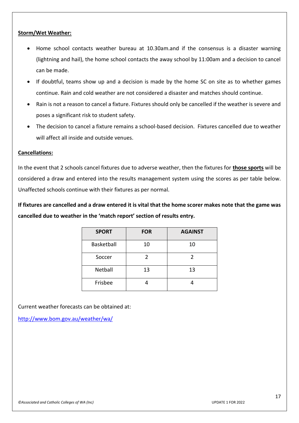## **Storm/Wet Weather:**

- Home school contacts weather bureau at 10.30am.and if the consensus is a disaster warning (lightning and hail), the home school contacts the away school by 11:00am and a decision to cancel can be made.
- If doubtful, teams show up and a decision is made by the home SC on site as to whether games continue. Rain and cold weather are not considered a disaster and matches should continue.
- Rain is not a reason to cancel a fixture. Fixtures should only be cancelled if the weather is severe and poses a significant risk to student safety.
- The decision to cancel a fixture remains a school-based decision. Fixtures cancelled due to weather will affect all inside and outside venues.

## **Cancellations:**

In the event that 2 schools cancel fixtures due to adverse weather, then the fixtures for **those sports** will be considered a draw and entered into the results management system using the scores as per table below. Unaffected schools continue with their fixtures as per normal.

**If fixtures are cancelled and a draw entered it is vital that the home scorer makes note that the game was cancelled due to weather in the 'match report' section of results entry.** 

| <b>SPORT</b> | <b>FOR</b> | <b>AGAINST</b> |
|--------------|------------|----------------|
| Basketball   | 10         | 10             |
| Soccer       | 2          |                |
| Netball      | 13         | 13             |
| Frisbee      |            |                |

Current weather forecasts can be obtained at:

<http://www.bom.gov.au/weather/wa/>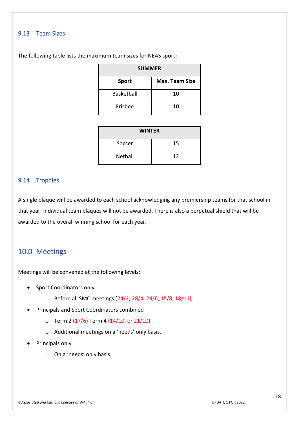## <span id="page-17-0"></span>9.13 Team Sizes

| <b>SUMMER</b> |                       |  |
|---------------|-----------------------|--|
| <b>Sport</b>  | <b>Max. Team Size</b> |  |
| Basketball    | 10                    |  |
| Frisbee       | 10                    |  |

The following table lists the maximum team sizes for NEAS sport:

| <b>WINTER</b> |    |  |  |
|---------------|----|--|--|
| Soccer        | 15 |  |  |
| Netball       | 12 |  |  |

## <span id="page-17-1"></span>9.14 Trophies

A single plaque will be awarded to each school acknowledging any premiership teams for that school in that year. Individual team plaques will not be awarded. There is also a perpetual shield that will be awarded to the overall winning school for each year.

## <span id="page-17-2"></span>10.0 Meetings

Meetings will be convened at the following levels:

- Sport Coordinators only
	- o Before all SMC meetings (24/2; 28/4; 23/6; 15/8, 18/11)
- Principals and Sport Coordinators combined
	- $\circ$  Term 2 (17/6) Term 4 (14/10, or 21/10)
	- o Additional meetings on a 'needs' only basis.
- Principals only
	- o On a 'needs' only basis.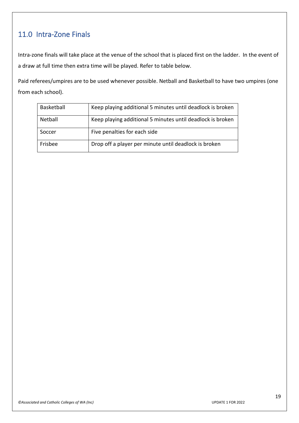# <span id="page-18-0"></span>11.0 Intra-Zone Finals

Intra-zone finals will take place at the venue of the school that is placed first on the ladder. In the event of a draw at full time then extra time will be played. Refer to table below.

Paid referees/umpires are to be used whenever possible. Netball and Basketball to have two umpires (one from each school).

| Basketball | Keep playing additional 5 minutes until deadlock is broken |
|------------|------------------------------------------------------------|
| Netball    | Keep playing additional 5 minutes until deadlock is broken |
| Soccer     | Five penalties for each side                               |
| Frisbee    | Drop off a player per minute until deadlock is broken      |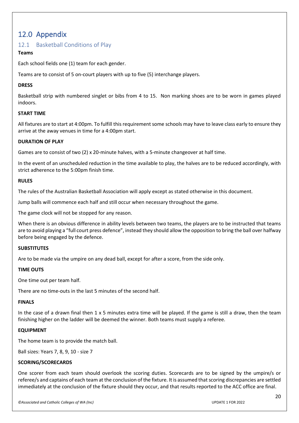## <span id="page-19-0"></span>12.0 Appendix

## <span id="page-19-1"></span>12.1 Basketball Conditions of Play

## **Teams**

Each school fields one (1) team for each gender.

Teams are to consist of 5 on-court players with up to five (5) interchange players.

## **DRESS**

Basketball strip with numbered singlet or bibs from 4 to 15. Non marking shoes are to be worn in games played indoors.

## **START TIME**

All fixtures are to start at 4:00pm. To fulfill this requirement some schools may have to leave class early to ensure they arrive at the away venues in time for a 4:00pm start.

## **DURATION OF PLAY**

Games are to consist of two (2) x 20-minute halves, with a 5-minute changeover at half time.

In the event of an unscheduled reduction in the time available to play, the halves are to be reduced accordingly, with strict adherence to the 5:00pm finish time.

## **RULES**

The rules of the Australian Basketball Association will apply except as stated otherwise in this document.

Jump balls will commence each half and still occur when necessary throughout the game.

The game clock will not be stopped for any reason.

When there is an obvious difference in ability levels between two teams, the players are to be instructed that teams are to avoid playing a "full court press defence", instead they should allow the opposition to bring the ball over halfway before being engaged by the defence.

## **SUBSTITUTES**

Are to be made via the umpire on any dead ball, except for after a score, from the side only.

## **TIME OUTS**

One time out per team half.

There are no time-outs in the last 5 minutes of the second half.

## **FINALS**

In the case of a drawn final then 1 x 5 minutes extra time will be played. If the game is still a draw, then the team finishing higher on the ladder will be deemed the winner. Both teams must supply a referee.

## **EQUIPMENT**

The home team is to provide the match ball.

Ball sizes: Years 7, 8, 9, 10 - size 7

## **SCORING/SCORECARDS**

One scorer from each team should overlook the scoring duties. Scorecards are to be signed by the umpire/s or referee/s and captains of each team at the conclusion of the fixture. It is assumed that scoring discrepancies are settled immediately at the conclusion of the fixture should they occur, and that results reported to the ACC office are final.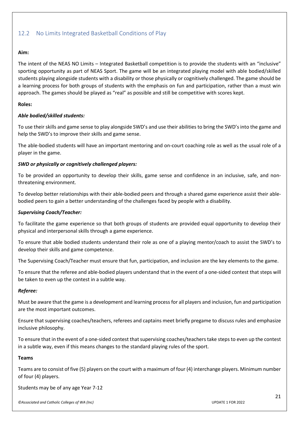## <span id="page-20-0"></span>12.2 No Limits Integrated Basketball Conditions of Play

## **Aim:**

The intent of the NEAS NO Limits – Integrated Basketball competition is to provide the students with an "inclusive" sporting opportunity as part of NEAS Sport. The game will be an integrated playing model with able bodied/skilled students playing alongside students with a disability or those physically or cognitively challenged. The game should be a learning process for both groups of students with the emphasis on fun and participation, rather than a must win approach. The games should be played as "real" as possible and still be competitive with scores kept.

## **Roles:**

## *Able bodied/skilled students:*

To use their skills and game sense to play alongside SWD's and use their abilities to bring the SWD's into the game and help the SWD's to improve their skills and game sense.

The able-bodied students will have an important mentoring and on-court coaching role as well as the usual role of a player in the game.

## *SWD or physically or cognitively challenged players:*

To be provided an opportunity to develop their skills, game sense and confidence in an inclusive, safe, and nonthreatening environment.

To develop better relationships with their able-bodied peers and through a shared game experience assist their ablebodied peers to gain a better understanding of the challenges faced by people with a disability.

## *Supervising Coach/Teacher:*

To facilitate the game experience so that both groups of students are provided equal opportunity to develop their physical and interpersonal skills through a game experience.

To ensure that able bodied students understand their role as one of a playing mentor/coach to assist the SWD's to develop their skills and game competence.

The Supervising Coach/Teacher must ensure that fun, participation, and inclusion are the key elements to the game.

To ensure that the referee and able-bodied players understand that in the event of a one-sided contest that steps will be taken to even up the contest in a subtle way.

## *Referee:*

Must be aware that the game is a development and learning process for all players and inclusion, fun and participation are the most important outcomes.

Ensure that supervising coaches/teachers, referees and captains meet briefly pregame to discuss rules and emphasize inclusive philosophy.

To ensure that in the event of a one-sided contest that supervising coaches/teachers take steps to even up the contest in a subtle way, even if this means changes to the standard playing rules of the sport.

## **Teams**

Teams are to consist of five (5) players on the court with a maximum of four (4) interchange players. Minimum number of four (4) players.

Students may be of any age Year 7-12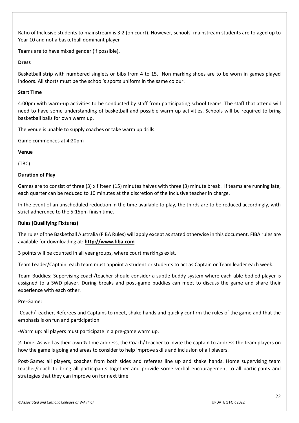Ratio of Inclusive students to mainstream is 3:2 (on court). However, schools' mainstream students are to aged up to Year 10 and not a basketball dominant player

Teams are to have mixed gender (if possible).

## **Dress**

Basketball strip with numbered singlets or bibs from 4 to 15. Non marking shoes are to be worn in games played indoors. All shorts must be the school's sports uniform in the same colour.

## **Start Time**

4:00pm with warm-up activities to be conducted by staff from participating school teams. The staff that attend will need to have some understanding of basketball and possible warm up activities. Schools will be required to bring basketball balls for own warm up.

The venue is unable to supply coaches or take warm up drills.

Game commences at 4:20pm

**Venue**

(TBC)

## **Duration of Play**

Games are to consist of three (3) x fifteen (15) minutes halves with three (3) minute break. If teams are running late, each quarter can be reduced to 10 minutes at the discretion of the Inclusive teacher in charge.

In the event of an unscheduled reduction in the time available to play, the thirds are to be reduced accordingly, with strict adherence to the 5:15pm finish time.

## **Rules (Qualifying Fixtures)**

The rules of the Basketball Australia (FIBA Rules) will apply except as stated otherwise in this document. FIBA rules are available for downloading at: **[http://www.fiba.com](http://www.fiba.com/)**

3 points will be counted in all year groups, where court markings exist.

Team Leader/Captain: each team must appoint a student or students to act as Captain or Team leader each week.

Team Buddies: Supervising coach/teacher should consider a subtle buddy system where each able-bodied player is assigned to a SWD player. During breaks and post-game buddies can meet to discuss the game and share their experience with each other.

## Pre-Game:

-Coach/Teacher, Referees and Captains to meet, shake hands and quickly confirm the rules of the game and that the emphasis is on fun and participation.

-Warm up: all players must participate in a pre-game warm up.

½ Time: As well as their own ½ time address, the Coach/Teacher to invite the captain to address the team players on how the game is going and areas to consider to help improve skills and inclusion of all players.

Post-Game: all players, coaches from both sides and referees line up and shake hands. Home supervising team teacher/coach to bring all participants together and provide some verbal encouragement to all participants and strategies that they can improve on for next time.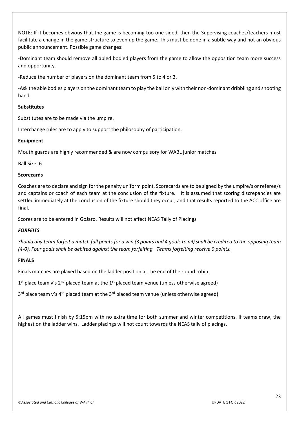NOTE: If it becomes obvious that the game is becoming too one sided, then the Supervising coaches/teachers must facilitate a change in the game structure to even up the game. This must be done in a subtle way and not an obvious public announcement. Possible game changes:

-Dominant team should remove all abled bodied players from the game to allow the opposition team more success and opportunity.

-Reduce the number of players on the dominant team from 5 to 4 or 3.

-Ask the able bodies players on the dominant team to play the ball only with their non-dominant dribbling and shooting hand.

## **Substitutes**

Substitutes are to be made via the umpire.

Interchange rules are to apply to support the philosophy of participation.

#### **Equipment**

Mouth guards are highly recommended & are now compulsory for WABL junior matches

Ball Size: 6

#### **Scorecards**

Coaches are to declare and sign for the penalty uniform point. Scorecards are to be signed by the umpire/s or referee/s and captains or coach of each team at the conclusion of the fixture. It is assumed that scoring discrepancies are settled immediately at the conclusion of the fixture should they occur, and that results reported to the ACC office are final.

Scores are to be entered in GoJaro. Results will not affect NEAS Tally of Placings

## *FORFEITS*

*Should any team forfeit a match full points for a win (3 points and 4 goals to nil) shall be credited to the opposing team (4-0). Four goals shall be debited against the team forfeiting. Teams forfeiting receive 0 points.* 

## **FINALS**

Finals matches are played based on the ladder position at the end of the round robin.

 $1<sup>st</sup>$  place team v's  $2<sup>nd</sup>$  placed team at the  $1<sup>st</sup>$  placed team venue (unless otherwise agreed)

 $3<sup>rd</sup>$  place team v's 4<sup>th</sup> placed team at the 3<sup>rd</sup> placed team venue (unless otherwise agreed)

All games must finish by 5:15pm with no extra time for both summer and winter competitions. If teams draw, the highest on the ladder wins. Ladder placings will not count towards the NEAS tally of placings.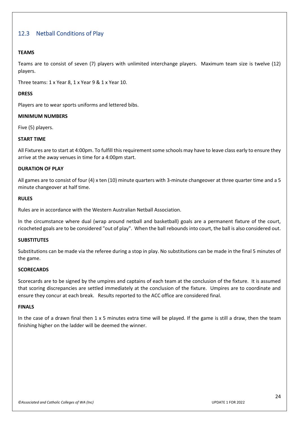## <span id="page-23-0"></span>12.3 Netball Conditions of Play

## **TEAMS**

Teams are to consist of seven (7) players with unlimited interchange players. Maximum team size is twelve (12) players.

Three teams: 1 x Year 8, 1 x Year 9 & 1 x Year 10.

## **DRESS**

Players are to wear sports uniforms and lettered bibs.

## **MINIMUM NUMBERS**

Five (5) players.

## **START TIME**

All Fixtures are to start at 4:00pm. To fulfill this requirement some schools may have to leave class early to ensure they arrive at the away venues in time for a 4:00pm start.

## **DURATION OF PLAY**

All games are to consist of four (4) x ten (10) minute quarters with 3-minute changeover at three quarter time and a 5 minute changeover at half time.

#### **RULES**

Rules are in accordance with the Western Australian Netball Association.

In the circumstance where dual (wrap around netball and basketball) goals are a permanent fixture of the court, ricocheted goals are to be considered "out of play". When the ball rebounds into court, the ball is also considered out.

## **SUBSTITUTES**

Substitutions can be made via the referee during a stop in play. No substitutions can be made in the final 5 minutes of the game.

#### **SCORECARDS**

Scorecards are to be signed by the umpires and captains of each team at the conclusion of the fixture. It is assumed that scoring discrepancies are settled immediately at the conclusion of the fixture. Umpires are to coordinate and ensure they concur at each break. Results reported to the ACC office are considered final.

#### **FINALS**

In the case of a drawn final then  $1 \times 5$  minutes extra time will be played. If the game is still a draw, then the team finishing higher on the ladder will be deemed the winner.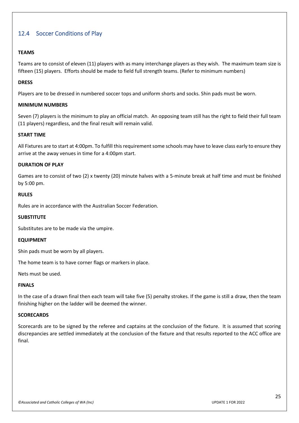## <span id="page-24-0"></span>12.4 Soccer Conditions of Play

## **TEAMS**

Teams are to consist of eleven (11) players with as many interchange players as they wish. The maximum team size is fifteen (15) players. Efforts should be made to field full strength teams. (Refer to minimum numbers)

## **DRESS**

Players are to be dressed in numbered soccer tops and uniform shorts and socks. Shin pads must be worn.

## **MINIMUM NUMBERS**

Seven (7) players is the minimum to play an official match. An opposing team still has the right to field their full team (11 players) regardless, and the final result will remain valid.

#### **START TIME**

All Fixtures are to start at 4:00pm. To fulfill this requirement some schools may have to leave class early to ensure they arrive at the away venues in time for a 4:00pm start.

#### **DURATION OF PLAY**

Games are to consist of two (2) x twenty (20) minute halves with a 5-minute break at half time and must be finished by 5:00 pm.

## **RULES**

Rules are in accordance with the Australian Soccer Federation.

#### **SUBSTITUTE**

Substitutes are to be made via the umpire.

#### **EQUIPMENT**

Shin pads must be worn by all players.

The home team is to have corner flags or markers in place.

Nets must be used.

#### **FINALS**

In the case of a drawn final then each team will take five (5) penalty strokes. If the game is still a draw, then the team finishing higher on the ladder will be deemed the winner.

## **SCORECARDS**

Scorecards are to be signed by the referee and captains at the conclusion of the fixture. It is assumed that scoring discrepancies are settled immediately at the conclusion of the fixture and that results reported to the ACC office are final.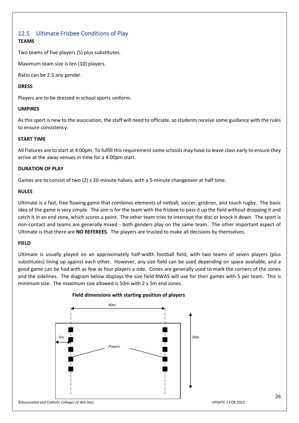## <span id="page-25-0"></span>12.5 Ultimate Frisbee Conditions of Play **TEAMS**

Two teams of five players (5) plus substitutes.

Maximum team size is ten (10) players.

Ratio can be 2:3 any gender.

## **DRESS**

Players are to be dressed in school sports uniform.

## **UMPIRES**

As this sport is new to the association, the staff will need to officiate, so students receive some guidance with the rules to ensure consistency.

## **START TIME**

All Fixtures are to start at 4:00pm. To fulfill this requirement some schools may have to leave class early to ensure they arrive at the away venues in time for a 4:00pm start.

## **DURATION OF PLAY**

Games are to consist of two (2) x 20-minute halves, with a 5-minute changeover at half time.

## **RULES**

Ultimate is a fast, free flowing game that combines elements of netball, soccer, gridiron, and touch rugby. The basic idea of the game is very simple. The aim is for the team with the frisbee to pass it up the field without dropping it and catch it in an end zone, which scores a point. The other team tries to intercept the disc or knock it down. The sport is non-contact and teams are generally mixed - both genders play on the same team. The other important aspect of Ultimate is that there are **NO REFEREES**. The players are trusted to make all decisions by themselves.

## **FIELD**

Ultimate is usually played on an approximately half-width football field, with two teams of seven players (plus substitutes) lining up against each other. However, any size field can be used depending on space available, and a good game can be had with as few as four players a side. Cones are generally used to mark the corners of the zones and the sidelines. The diagram below displays the size field NWAS will use for their games with 5 per team. This is minimum size. The maximum size allowed is 50m with 2 x 5m end zones.



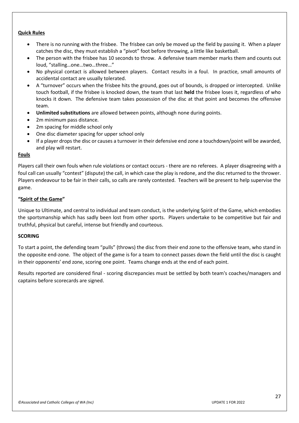#### **Quick Rules**

- There is no running with the frisbee. The frisbee can only be moved up the field by passing it. When a player catches the disc, they must establish a "pivot" foot before throwing, a little like basketball.
- The person with the frisbee has 10 seconds to throw. A defensive team member marks them and counts out loud, "stalling…one…two…three…"
- No physical contact is allowed between players. Contact results in a foul. In practice, small amounts of accidental contact are usually tolerated.
- A "turnover" occurs when the frisbee hits the ground, goes out of bounds, is dropped or intercepted. Unlike touch football, if the frisbee is knocked down, the team that last **held** the frisbee loses it, regardless of who knocks it down. The defensive team takes possession of the disc at that point and becomes the offensive team.
- **Unlimited substitutions** are allowed between points, although none during points.
- 2m minimum pass distance.
- 2m spacing for middle school only
- One disc diameter spacing for upper school only
- If a player drops the disc or causes a turnover in their defensive end zone a touchdown/point will be awarded, and play will restart.

#### **Fouls**

Players call their own fouls when rule violations or contact occurs - there are no referees. A player disagreeing with a foul call can usually "contest" (dispute) the call, in which case the play is redone, and the disc returned to the thrower. Players endeavour to be fair in their calls, so calls are rarely contested. Teachers will be present to help supervise the game.

## **"Spirit of the Game"**

Unique to Ultimate, and central to individual and team conduct, is the underlying Spirit of the Game, which embodies the sportsmanship which has sadly been lost from other sports. Players undertake to be competitive but fair and truthful, physical but careful, intense but friendly and courteous.

## **SCORING**

To start a point, the defending team "pulls" (throws) the disc from their end zone to the offensive team, who stand in the opposite end-zone. The object of the game is for a team to connect passes down the field until the disc is caught in their opponents' end zone, scoring one point. Teams change ends at the end of each point.

Results reported are considered final - scoring discrepancies must be settled by both team's coaches/managers and captains before scorecards are signed.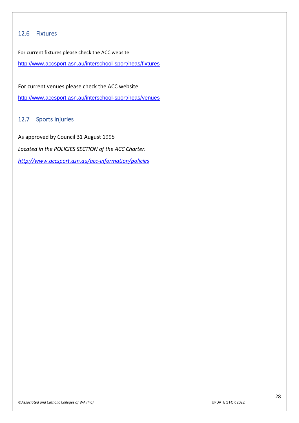## <span id="page-27-0"></span>12.6 Fixtures

For current fixtures please check the ACC website

<http://www.accsport.asn.au/interschool-sport/neas/fixtures>

For current venues please check the ACC website

<http://www.accsport.asn.au/interschool-sport/neas/venues>

## <span id="page-27-1"></span>12.7 Sports Injuries

As approved by Council 31 August 1995 *Located in the POLICIES SECTION of the ACC Charter. <http://www.accsport.asn.au/acc-information/policies>*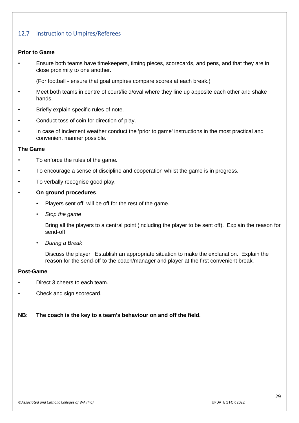## <span id="page-28-0"></span>12.7 Instruction to Umpires/Referees

## **Prior to Game**

• Ensure both teams have timekeepers, timing pieces, scorecards, and pens, and that they are in close proximity to one another.

(For football - ensure that goal umpires compare scores at each break.)

- Meet both teams in centre of court/field/oval where they line up apposite each other and shake hands.
- Briefly explain specific rules of note.
- Conduct toss of coin for direction of play.
- In case of inclement weather conduct the 'prior to game' instructions in the most practical and convenient manner possible.

#### **The Game**

- To enforce the rules of the game.
- To encourage a sense of discipline and cooperation whilst the game is in progress.
- To verbally recognise good play.

## • **On ground procedures**.

- Players sent off, will be off for the rest of the game.
- *Stop the game*

Bring all the players to a central point (including the player to be sent off). Explain the reason for send-off.

• *During a Break*

Discuss the player. Establish an appropriate situation to make the explanation. Explain the reason for the send-off to the coach/manager and player at the first convenient break.

## **Post-Game**

- Direct 3 cheers to each team.
- Check and sign scorecard.

## **NB: The coach is the key to a team's behaviour on and off the field.**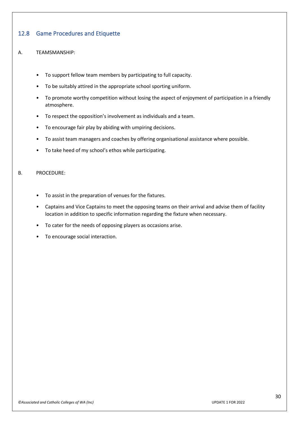## <span id="page-29-0"></span>12.8 Game Procedures and Etiquette

## A. TEAMSMANSHIP:

- To support fellow team members by participating to full capacity.
- To be suitably attired in the appropriate school sporting uniform.
- To promote worthy competition without losing the aspect of enjoyment of participation in a friendly atmosphere.
- To respect the opposition's involvement as individuals and a team.
- To encourage fair play by abiding with umpiring decisions.
- To assist team managers and coaches by offering organisational assistance where possible.
- To take heed of my school's ethos while participating.

## B. PROCEDURE:

- To assist in the preparation of venues for the fixtures.
- Captains and Vice Captains to meet the opposing teams on their arrival and advise them of facility location in addition to specific information regarding the fixture when necessary.
- To cater for the needs of opposing players as occasions arise.
- To encourage social interaction.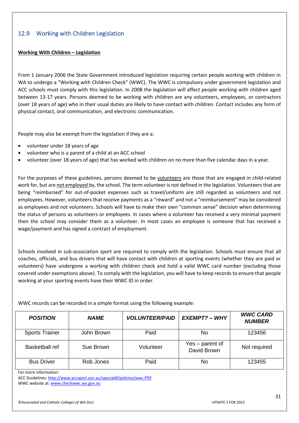## <span id="page-30-0"></span>12.9 Working with Children Legislation

#### **Working With Children – Legislation**

From 1 January 2006 the State Government introduced legislation requiring certain people working with children in WA to undergo a "Working with Children Check" (WWC). The WWC is compulsory under government legislation and ACC schools must comply with this legislation. In 2008 the legislation will affect people working with children aged between 13-17 years. Persons deemed to be working with children are any volunteers, employees, or contractors (over 18 years of age) who in their usual duties are likely to have contact with children. Contact includes any form of physical contact, oral communication, and electronic communication.

People may also be exempt from the legislation if they are a:

- volunteer under 18 years of age
- volunteer who is a parent of a child at an ACC school
- volunteer (over 18 years of age) that has worked with children on no more than five calendar days in a year.

For the purposes of these guidelines, persons deemed to be volunteers are those that are engaged in child-related work for, but are not employed by, the school. The term volunteer is not defined in the legislation. Volunteers that are being "reimbursed" for out-of-pocket expenses such as travel/uniform are still regarded as volunteers and not employees. However, volunteers that receive payments as a "reward" and not a "reimbursement" may be considered as employees and not volunteers. Schools will have to make their own "common sense" decision when determining the status of persons as volunteers or employees. In cases where a volunteer has received a very minimal payment then the school may consider them as a volunteer. In most cases an employee is someone that has received a wage/payment and has signed a contract of employment.

Schools involved in sub-association sport are required to comply with the legislation. Schools must ensure that all coaches, officials, and bus drivers that will have contact with children at sporting events (whether they are paid or volunteers) have undergone a working with children check and hold a valid WWC card number (excluding those covered under exemptions above). To comply with the legislation, you will have to keep records to ensure that people working at your sporting events have their WWC ID in order.

WWC records can be recorded in a simple format using the following example:

| <b>POSITION</b>       | <b>NAME</b> | <b>VOLUNTEER/PAID</b> | <b>EXEMPT? - WHY</b>           | <b>WWC CARD</b><br><b>NUMBER</b> |
|-----------------------|-------------|-----------------------|--------------------------------|----------------------------------|
| <b>Sports Trainer</b> | John Brown  | Paid                  | No                             | 123456                           |
| Basketball ref        | Sue Brown   | Volunteer             | Yes – parent of<br>David Brown | Not required                     |
| <b>Bus Driver</b>     | Rob Jones   | Paid                  | No                             | 123455                           |

For more information:

ACC Guidelines:<http://www.accsport.asn.au/specialdl/policies/wwc.PDF>

WWC website at[: www.checkwwc.wa.gov.au](http://www.checkwwc.wa.gov.au/)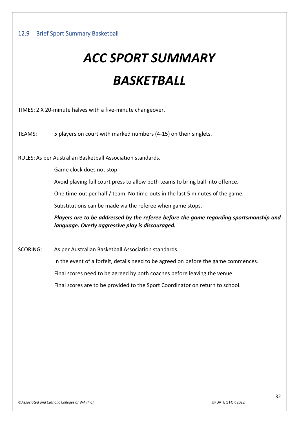# <span id="page-31-0"></span>*ACC SPORT SUMMARY BASKETBALL*

TIMES: 2 X 20-minute halves with a five-minute changeover.

TEAMS: 5 players on court with marked numbers (4-15) on their singlets.

RULES: As per Australian Basketball Association standards.

Game clock does not stop.

Avoid playing full court press to allow both teams to bring ball into offence.

One time-out per half / team. No time-outs in the last 5 minutes of the game.

Substitutions can be made via the referee when game stops.

*Players are to be addressed by the referee before the game regarding sportsmanship and language. Overly aggressive play is discouraged.*

SCORING: As per Australian Basketball Association standards.

In the event of a forfeit, details need to be agreed on before the game commences.

Final scores need to be agreed by both coaches before leaving the venue.

Final scores are to be provided to the Sport Coordinator on return to school.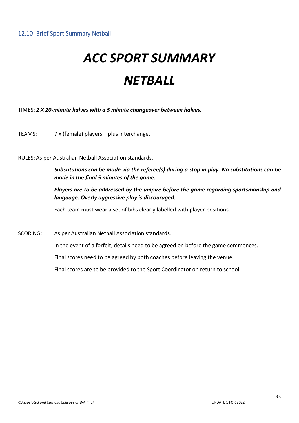# <span id="page-32-0"></span>*ACC SPORT SUMMARY NETBALL*

TIMES: *2 X 20-minute halves with a 5 minute changeover between halves.*

TEAMS: 7 x (female) players – plus interchange.

RULES: As per Australian Netball Association standards.

*Substitutions can be made via the referee(s) during a stop in play. No substitutions can be made in the final 5 minutes of the game.*

*Players are to be addressed by the umpire before the game regarding sportsmanship and language. Overly aggressive play is discouraged.*

Each team must wear a set of bibs clearly labelled with player positions.

SCORING: As per Australian Netball Association standards.

In the event of a forfeit, details need to be agreed on before the game commences.

Final scores need to be agreed by both coaches before leaving the venue.

Final scores are to be provided to the Sport Coordinator on return to school.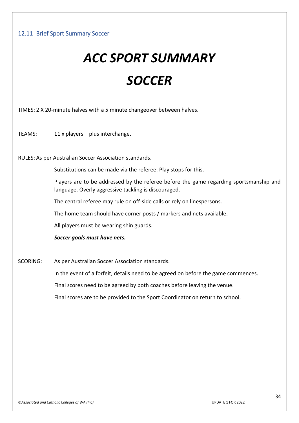## <span id="page-33-0"></span>12.11 Brief Sport Summary Soccer

# *ACC SPORT SUMMARY SOCCER*

TIMES: 2 X 20-minute halves with a 5 minute changeover between halves.

TEAMS: 11 x players – plus interchange.

RULES: As per Australian Soccer Association standards.

Substitutions can be made via the referee. Play stops for this.

Players are to be addressed by the referee before the game regarding sportsmanship and language. Overly aggressive tackling is discouraged.

The central referee may rule on off-side calls or rely on linespersons.

The home team should have corner posts / markers and nets available.

All players must be wearing shin guards.

*Soccer goals must have nets.*

SCORING: As per Australian Soccer Association standards.

In the event of a forfeit, details need to be agreed on before the game commences.

Final scores need to be agreed by both coaches before leaving the venue.

Final scores are to be provided to the Sport Coordinator on return to school.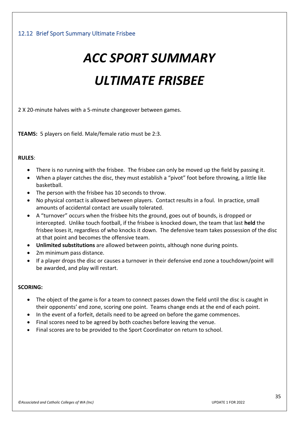## <span id="page-34-0"></span>12.12 Brief Sport Summary Ultimate Frisbee

# *ACC SPORT SUMMARY ULTIMATE FRISBEE*

## 2 X 20-minute halves with a 5-minute changeover between games.

**TEAMS:** 5 players on field. Male/female ratio must be 2:3.

## **RULES**:

- There is no running with the frisbee. The frisbee can only be moved up the field by passing it.
- When a player catches the disc, they must establish a "pivot" foot before throwing, a little like basketball.
- The person with the frisbee has 10 seconds to throw.
- No physical contact is allowed between players. Contact results in a foul. In practice, small amounts of accidental contact are usually tolerated.
- A "turnover" occurs when the frisbee hits the ground, goes out of bounds, is dropped or intercepted. Unlike touch football, if the frisbee is knocked down, the team that last **held** the frisbee loses it, regardless of who knocks it down. The defensive team takes possession of the disc at that point and becomes the offensive team.
- **Unlimited substitutions** are allowed between points, although none during points.
- 2m minimum pass distance.
- If a player drops the disc or causes a turnover in their defensive end zone a touchdown/point will be awarded, and play will restart.

## **SCORING:**

- The object of the game is for a team to connect passes down the field until the disc is caught in their opponents' end zone, scoring one point. Teams change ends at the end of each point.
- In the event of a forfeit, details need to be agreed on before the game commences.
- Final scores need to be agreed by both coaches before leaving the venue.
- Final scores are to be provided to the Sport Coordinator on return to school.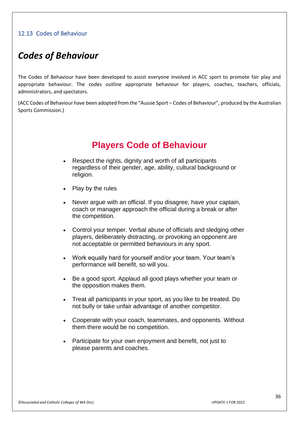## <span id="page-35-0"></span>12.13 Codes of Behaviour

# *Codes of Behaviour*

The Codes of Behaviour have been developed to assist everyone involved in ACC sport to promote fair play and appropriate behaviour. The codes outline appropriate behaviour for players, coaches, teachers, officials, administrators, and spectators.

(ACC Codes of Behaviour have been adopted from the "Aussie Sport – Codes of Behaviour", produced by the Australian Sports Commission.)

# **Players Code of Behaviour**

- Respect the rights, dignity and worth of all participants regardless of their gender, age, ability, cultural background or religion.
- Play by the rules
- Never argue with an official. If you disagree, have your captain, coach or manager approach the official during a break or after the competition.
- Control your temper. Verbal abuse of officials and sledging other players, deliberately distracting, or provoking an opponent are not acceptable or permitted behaviours in any sport.
- Work equally hard for yourself and/or your team. Your team's performance will benefit, so will you.
- Be a good sport. Applaud all good plays whether your team or the opposition makes them.
- Treat all participants in your sport, as you like to be treated. Do not bully or take unfair advantage of another competitor.
- Cooperate with your coach, teammates, and opponents. Without them there would be no competition.
- Participate for your own enjoyment and benefit, not just to please parents and coaches.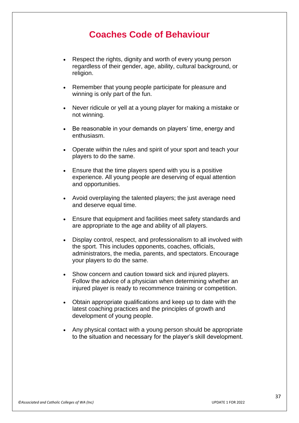# **Coaches Code of Behaviour**

- Respect the rights, dignity and worth of every young person regardless of their gender, age, ability, cultural background, or religion.
- Remember that young people participate for pleasure and winning is only part of the fun.
- Never ridicule or yell at a young player for making a mistake or not winning.
- Be reasonable in your demands on players' time, energy and enthusiasm.
- Operate within the rules and spirit of your sport and teach your players to do the same.
- Ensure that the time players spend with you is a positive experience. All young people are deserving of equal attention and opportunities.
- Avoid overplaying the talented players; the just average need and deserve equal time.
- Ensure that equipment and facilities meet safety standards and are appropriate to the age and ability of all players.
- Display control, respect, and professionalism to all involved with the sport. This includes opponents, coaches, officials, administrators, the media, parents, and spectators. Encourage your players to do the same.
- Show concern and caution toward sick and injured players. Follow the advice of a physician when determining whether an injured player is ready to recommence training or competition.
- Obtain appropriate qualifications and keep up to date with the latest coaching practices and the principles of growth and development of young people.
- Any physical contact with a young person should be appropriate to the situation and necessary for the player's skill development.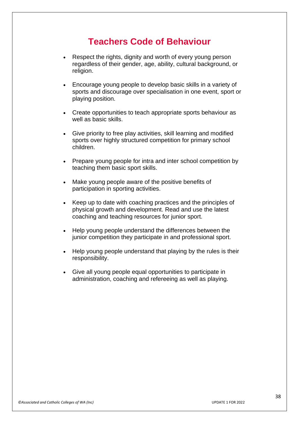# **Teachers Code of Behaviour**

- Respect the rights, dignity and worth of every young person regardless of their gender, age, ability, cultural background, or religion.
- Encourage young people to develop basic skills in a variety of sports and discourage over specialisation in one event, sport or playing position.
- Create opportunities to teach appropriate sports behaviour as well as basic skills.
- Give priority to free play activities, skill learning and modified sports over highly structured competition for primary school children.
- Prepare young people for intra and inter school competition by teaching them basic sport skills.
- Make young people aware of the positive benefits of participation in sporting activities.
- Keep up to date with coaching practices and the principles of physical growth and development. Read and use the latest coaching and teaching resources for junior sport.
- Help young people understand the differences between the junior competition they participate in and professional sport.
- Help young people understand that playing by the rules is their responsibility.
- Give all young people equal opportunities to participate in administration, coaching and refereeing as well as playing.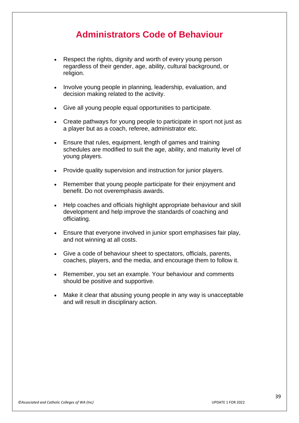# **Administrators Code of Behaviour**

- Respect the rights, dignity and worth of every young person regardless of their gender, age, ability, cultural background, or religion.
- Involve young people in planning, leadership, evaluation, and decision making related to the activity.
- Give all young people equal opportunities to participate.
- Create pathways for young people to participate in sport not just as a player but as a coach, referee, administrator etc.
- Ensure that rules, equipment, length of games and training schedules are modified to suit the age, ability, and maturity level of young players.
- Provide quality supervision and instruction for junior players.
- Remember that young people participate for their enjoyment and benefit. Do not overemphasis awards.
- Help coaches and officials highlight appropriate behaviour and skill development and help improve the standards of coaching and officiating.
- Ensure that everyone involved in junior sport emphasises fair play, and not winning at all costs.
- Give a code of behaviour sheet to spectators, officials, parents, coaches, players, and the media, and encourage them to follow it.
- Remember, you set an example. Your behaviour and comments should be positive and supportive.
- Make it clear that abusing young people in any way is unacceptable and will result in disciplinary action.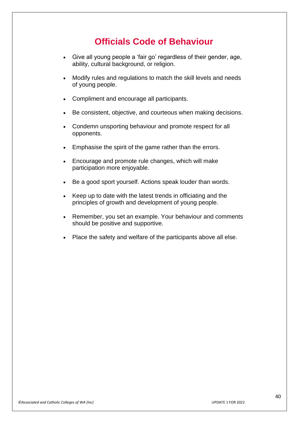# **Officials Code of Behaviour**

- Give all young people a 'fair go' regardless of their gender, age, ability, cultural background, or religion.
- Modify rules and regulations to match the skill levels and needs of young people.
- Compliment and encourage all participants.
- Be consistent, objective, and courteous when making decisions.
- Condemn unsporting behaviour and promote respect for all opponents.
- Emphasise the spirit of the game rather than the errors.
- Encourage and promote rule changes, which will make participation more enjoyable.
- Be a good sport yourself. Actions speak louder than words.
- Keep up to date with the latest trends in officiating and the principles of growth and development of young people.
- Remember, you set an example. Your behaviour and comments should be positive and supportive.
- Place the safety and welfare of the participants above all else.